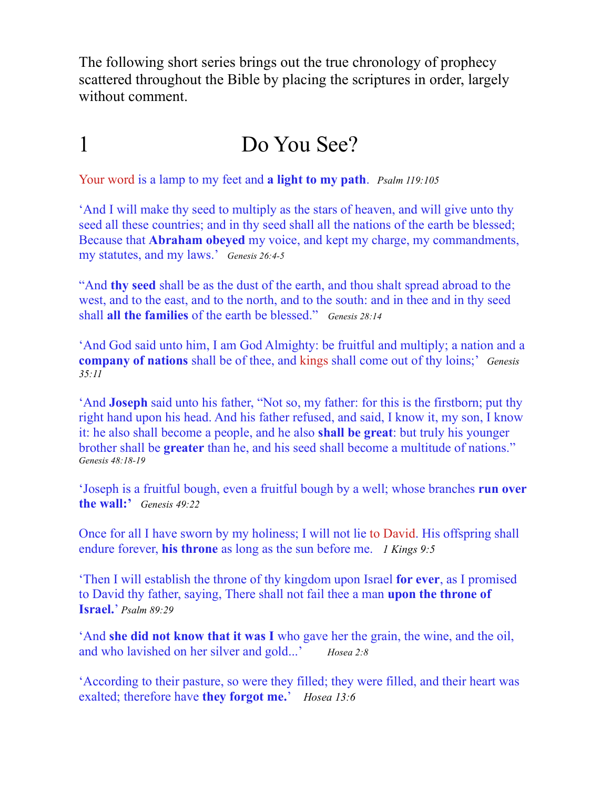The following short series brings out the true chronology of prophecy scattered throughout the Bible by placing the scriptures in order, largely without comment.

## 1 Do You See?

Your word is a lamp to my feet and **a light to my path**. *Psalm 119:105*

'And I will make thy seed to multiply as the stars of heaven, and will give unto thy seed all these countries; and in thy seed shall all the nations of the earth be blessed; Because that **Abraham obeyed** my voice, and kept my charge, my commandments, my statutes, and my laws.' *Genesis 26:4-5*

"And **thy seed** shall be as the dust of the earth, and thou shalt spread abroad to the west, and to the east, and to the north, and to the south: and in thee and in thy seed shall **all the families** of the earth be blessed." *Genesis 28:14*

'And God said unto him, I am God Almighty: be fruitful and multiply; a nation and a **company of nations** shall be of thee, and kings shall come out of thy loins;' *Genesis 35:11*

'And **Joseph** said unto his father, "Not so, my father: for this is the firstborn; put thy right hand upon his head. And his father refused, and said, I know it, my son, I know it: he also shall become a people, and he also **shall be great**: but truly his younger brother shall be **greater** than he, and his seed shall become a multitude of nations." *Genesis 48:18-19*

'Joseph is a fruitful bough, even a fruitful bough by a well; whose branches **run over the wall:'** *Genesis 49:22*

Once for all I have sworn by my holiness; I will not lie to David. His offspring shall endure forever, **his throne** as long as the sun before me. *1 Kings 9:5*

'Then I will establish the throne of thy kingdom upon Israel **for ever**, as I promised to David thy father, saying, There shall not fail thee a man **upon the throne of Israel.**' *Psalm 89:29*

'And **she did not know that it was I** who gave her the grain, the wine, and the oil, and who lavished on her silver and gold...' *Hosea 2:8*

'According to their pasture, so were they filled; they were filled, and their heart was exalted; therefore have **they forgot me.**' *Hosea 13:6*